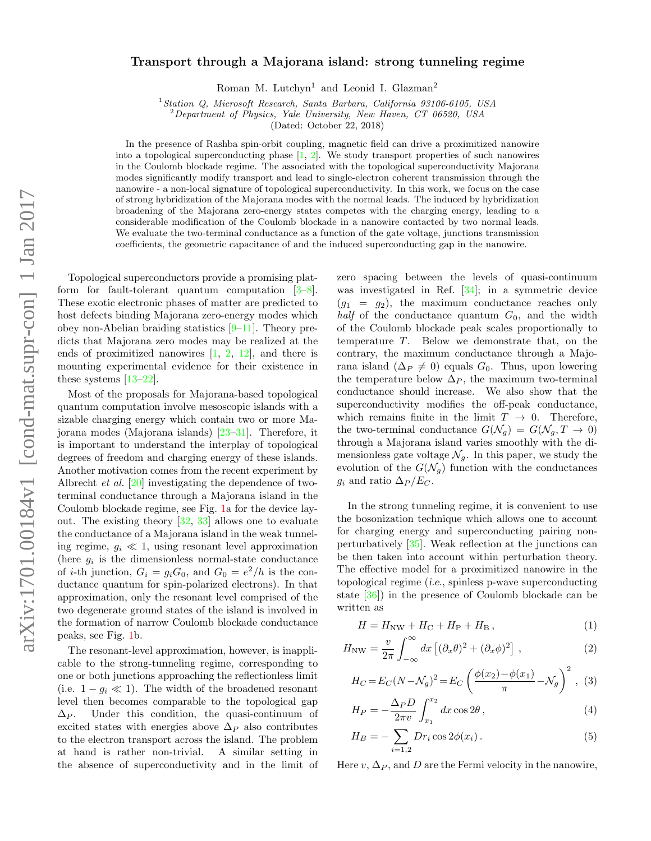## Transport through a Majorana island: strong tunneling regime

Roman M. Lutchyn<sup>1</sup> and Leonid I. Glazman<sup>2</sup>

<sup>1</sup>Station Q, Microsoft Research, Santa Barbara, California 93106-6105, USA

<sup>2</sup>Department of Physics, Yale University, New Haven, CT 06520, USA

(Dated: October 22, 2018)

In the presence of Rashba spin-orbit coupling, magnetic field can drive a proximitized nanowire into a topological superconducting phase  $[1, 2]$  $[1, 2]$  $[1, 2]$ . We study transport properties of such nanowires in the Coulomb blockade regime. The associated with the topological superconductivity Majorana modes significantly modify transport and lead to single-electron coherent transmission through the nanowire - a non-local signature of topological superconductivity. In this work, we focus on the case of strong hybridization of the Majorana modes with the normal leads. The induced by hybridization broadening of the Majorana zero-energy states competes with the charging energy, leading to a considerable modification of the Coulomb blockade in a nanowire contacted by two normal leads. We evaluate the two-terminal conductance as a function of the gate voltage, junctions transmission coefficients, the geometric capacitance of and the induced superconducting gap in the nanowire.

Topological superconductors provide a promising platform for fault-tolerant quantum computation [\[3–](#page-4-2)[8\]](#page-4-3). These exotic electronic phases of matter are predicted to host defects binding Majorana zero-energy modes which obey non-Abelian braiding statistics [\[9–](#page-4-4)[11\]](#page-4-5). Theory predicts that Majorana zero modes may be realized at the ends of proximitized nanowires  $[1, 2, 12]$  $[1, 2, 12]$  $[1, 2, 12]$  $[1, 2, 12]$ , and there is mounting experimental evidence for their existence in these systems [\[13](#page-4-7)[–22\]](#page-4-8).

Most of the proposals for Majorana-based topological quantum computation involve mesoscopic islands with a sizable charging energy which contain two or more Majorana modes (Majorana islands) [\[23–](#page-4-9)[31\]](#page-4-10). Therefore, it is important to understand the interplay of topological degrees of freedom and charging energy of these islands. Another motivation comes from the recent experiment by Albrecht *et al.* [\[20\]](#page-4-11) investigating the dependence of twoterminal conductance through a Majorana island in the Coulomb blockade regime, see Fig. [1a](#page-1-0) for the device layout. The existing theory [\[32,](#page-4-12) [33\]](#page-4-13) allows one to evaluate the conductance of a Majorana island in the weak tunneling regime,  $g_i \ll 1$ , using resonant level approximation (here  $g_i$  is the dimensionless normal-state conductance of *i*-th junction,  $G_i = g_i G_0$ , and  $G_0 = e^2/h$  is the conductance quantum for spin-polarized electrons). In that approximation, only the resonant level comprised of the two degenerate ground states of the island is involved in the formation of narrow Coulomb blockade conductance peaks, see Fig. [1b](#page-1-0).

The resonant-level approximation, however, is inapplicable to the strong-tunneling regime, corresponding to one or both junctions approaching the reflectionless limit (i.e.  $1 - g_i \ll 1$ ). The width of the broadened resonant level then becomes comparable to the topological gap  $\Delta_P$ . Under this condition, the quasi-continuum of excited states with energies above  $\Delta_P$  also contributes to the electron transport across the island. The problem at hand is rather non-trivial. A similar setting in the absence of superconductivity and in the limit of zero spacing between the levels of quasi-continuum was investigated in Ref. [\[34\]](#page-4-14); in a symmetric device  $(g_1 = g_2)$ , the maximum conductance reaches only half of the conductance quantum  $G_0$ , and the width of the Coulomb blockade peak scales proportionally to temperature T. Below we demonstrate that, on the contrary, the maximum conductance through a Majorana island  $(\Delta_P \neq 0)$  equals  $G_0$ . Thus, upon lowering the temperature below  $\Delta_P$ , the maximum two-terminal conductance should increase. We also show that the superconductivity modifies the off-peak conductance, which remains finite in the limit  $T \to 0$ . Therefore, the two-terminal conductance  $G(\mathcal{N}_q) = G(\mathcal{N}_q, T \to 0)$ through a Majorana island varies smoothly with the dimensionless gate voltage  $\mathcal{N}_q$ . In this paper, we study the evolution of the  $G(\mathcal{N}_q)$  function with the conductances  $g_i$  and ratio  $\Delta_P/E_C$ .

In the strong tunneling regime, it is convenient to use the bosonization technique which allows one to account for charging energy and superconducting pairing nonperturbatively [\[35\]](#page-4-15). Weak reflection at the junctions can be then taken into account within perturbation theory. The effective model for a proximitized nanowire in the topological regime (i.e., spinless p-wave superconducting state [\[36\]](#page-4-16)) in the presence of Coulomb blockade can be written as

<span id="page-0-1"></span><span id="page-0-0"></span>
$$
H = H_{\rm NW} + H_{\rm C} + H_{\rm P} + H_{\rm B},\tag{1}
$$

$$
H_{\rm NW} = \frac{v}{2\pi} \int_{-\infty}^{\infty} dx \left[ (\partial_x \theta)^2 + (\partial_x \phi)^2 \right], \qquad (2)
$$

$$
H_C = E_C (N - \mathcal{N}_g)^2 = E_C \left( \frac{\phi(x_2) - \phi(x_1)}{\pi} - \mathcal{N}_g \right)^2, (3)
$$

<span id="page-0-2"></span>
$$
H_P = -\frac{\Delta_P D}{2\pi v} \int_{x_1}^{x_2} dx \cos 2\theta ,\qquad (4)
$$

$$
H_B = -\sum_{i=1,2} Dr_i \cos 2\phi(x_i).
$$
 (5)

Here  $v, \Delta_P$ , and D are the Fermi velocity in the nanowire,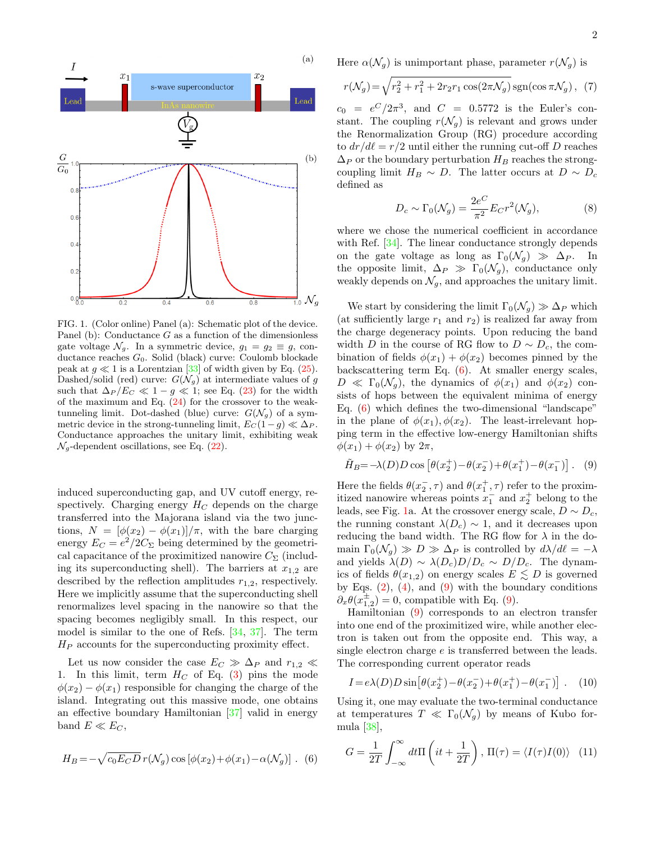

<span id="page-1-0"></span>FIG. 1. (Color online) Panel (a): Schematic plot of the device. Panel (b): Conductance  $G$  as a function of the dimensionless gate voltage  $\mathcal{N}_g$ . In a symmetric device,  $g_1 = g_2 \equiv g$ , conductance reaches G0. Solid (black) curve: Coulomb blockade peak at  $g \ll 1$  is a Lorentzian [\[33\]](#page-4-13) of width given by Eq. [\(25\)](#page-3-0). Dashed/solid (red) curve:  $G(\mathcal{N}_g)$  at intermediate values of g such that  $\Delta_P/E_C \ll 1 - g \ll 1$ ; see Eq. [\(23\)](#page-3-1) for the width of the maximum and Eq.  $(24)$  for the crossover to the weaktunneling limit. Dot-dashed (blue) curve:  $G(\mathcal{N}_g)$  of a symmetric device in the strong-tunneling limit,  $E_C(1-g) \ll \Delta_P$ . Conductance approaches the unitary limit, exhibiting weak  $\mathcal{N}_g$ -dependent oscillations, see Eq. [\(22\)](#page-3-3).

induced superconducting gap, and UV cutoff energy, respectively. Charging energy  $H_C$  depends on the charge transferred into the Majorana island via the two junctions,  $N = [\phi(x_2) - \phi(x_1)]/\pi$ , with the bare charging energy  $E_C = e^2/2C_{\Sigma}$  being determined by the geometrical capacitance of the proximitized nanowire  $C_{\Sigma}$  (including its superconducting shell). The barriers at  $x_{1,2}$  are described by the reflection amplitudes  $r_{1,2}$ , respectively. Here we implicitly assume that the superconducting shell renormalizes level spacing in the nanowire so that the spacing becomes negligibly small. In this respect, our model is similar to the one of Refs. [\[34,](#page-4-14) [37\]](#page-4-17). The term  $H_P$  accounts for the superconducting proximity effect.

Let us now consider the case  $E_C \gg \Delta_P$  and  $r_{1,2} \ll$ 1. In this limit, term  $H_C$  of Eq. [\(3\)](#page-0-0) pins the mode  $\phi(x_2) - \phi(x_1)$  responsible for changing the charge of the island. Integrating out this massive mode, one obtains an effective boundary Hamiltonian [\[37\]](#page-4-17) valid in energy band  $E \ll E_C$ ,

$$
H_B = -\sqrt{c_0 E_C D} r(\mathcal{N}_g) \cos \left[\phi(x_2) + \phi(x_1) - \alpha(\mathcal{N}_g)\right].
$$
 (6)

<span id="page-1-6"></span><span id="page-1-5"></span>2

Here  $\alpha(\mathcal{N}_g)$  is unimportant phase, parameter  $r(\mathcal{N}_g)$  is

$$
r(\mathcal{N}_g) = \sqrt{r_2^2 + r_1^2 + 2r_2r_1\cos(2\pi\mathcal{N}_g)}\operatorname{sgn}(\cos\pi\mathcal{N}_g), (7)
$$

 $c_0 = e^C/2\pi^3$ , and  $C = 0.5772$  is the Euler's constant. The coupling  $r(\mathcal{N}_q)$  is relevant and grows under the Renormalization Group (RG) procedure according to  $dr/d\ell = r/2$  until either the running cut-off D reaches  $\Delta_P$  or the boundary perturbation  $H_B$  reaches the strongcoupling limit  $H_B \sim D$ . The latter occurs at  $D \sim D_c$ defined as

$$
D_c \sim \Gamma_0(\mathcal{N}_g) = \frac{2e^C}{\pi^2} E_C r^2(\mathcal{N}_g),\tag{8}
$$

where we chose the numerical coefficient in accordance with Ref. [\[34\]](#page-4-14). The linear conductance strongly depends on the gate voltage as long as  $\Gamma_0(\mathcal{N}_q) \gg \Delta_P$ . In the opposite limit,  $\Delta_P \gg \Gamma_0(\mathcal{N}_q)$ , conductance only weakly depends on  $\mathcal{N}_q$ , and approaches the unitary limit.

We start by considering the limit  $\Gamma_0(\mathcal{N}_q) \gg \Delta_P$  which (at sufficiently large  $r_1$  and  $r_2$ ) is realized far away from the charge degeneracy points. Upon reducing the band width D in the course of RG flow to  $D \sim D_c$ , the combination of fields  $\phi(x_1) + \phi(x_2)$  becomes pinned by the backscattering term Eq. [\(6\)](#page-1-1). At smaller energy scales,  $D \ll \Gamma_0(\mathcal{N}_q)$ , the dynamics of  $\phi(x_1)$  and  $\phi(x_2)$  consists of hops between the equivalent minima of energy Eq. [\(6\)](#page-1-1) which defines the two-dimensional "landscape" in the plane of  $\phi(x_1), \phi(x_2)$ . The least-irrelevant hopping term in the effective low-energy Hamiltonian shifts  $\phi(x_1) + \phi(x_2)$  by  $2\pi$ ,

<span id="page-1-2"></span>
$$
\tilde{H}_B = -\lambda(D)D\cos\left[\theta(x_2^+) - \theta(x_2^-) + \theta(x_1^+) - \theta(x_1^-)\right].
$$
 (9)

Here the fields  $\theta(x_2^-,\tau)$  and  $\theta(x_1^+,\tau)$  refer to the proximitized nanowire whereas points  $x_1^-$  and  $x_2^+$  belong to the leads, see Fig. [1a](#page-1-0). At the crossover energy scale,  $D \sim D_c$ , the running constant  $\lambda(D_c) \sim 1$ , and it decreases upon reducing the band width. The RG flow for  $\lambda$  in the domain  $\Gamma_0(\mathcal{N}_q) \gg D \gg \Delta_P$  is controlled by  $d\lambda/d\ell = -\lambda$ and yields  $\lambda(D) \sim \lambda(D_c)D/D_c \sim D/D_c$ . The dynamics of fields  $\theta(x_{1,2})$  on energy scales  $E \lesssim D$  is governed by Eqs.  $(2)$ ,  $(4)$ , and  $(9)$  with the boundary conditions  $\partial_x \theta(x_{1,2}^{\pm}) = 0$ , compatible with Eq. [\(9\)](#page-1-2).

Hamiltonian [\(9\)](#page-1-2) corresponds to an electron transfer into one end of the proximitized wire, while another electron is taken out from the opposite end. This way, a single electron charge e is transferred between the leads. The corresponding current operator reads

<span id="page-1-3"></span>
$$
I = e\lambda(D)D\sin[\theta(x_2^+) - \theta(x_2^-) + \theta(x_1^+) - \theta(x_1^-)] \ . \tag{10}
$$

Using it, one may evaluate the two-terminal conductance at temperatures  $T \ll \Gamma_0(\mathcal{N}_q)$  by means of Kubo formula [\[38\]](#page-4-18),

<span id="page-1-4"></span><span id="page-1-1"></span>
$$
G = \frac{1}{2T} \int_{-\infty}^{\infty} dt \Pi \left(it + \frac{1}{2T}\right), \Pi(\tau) = \langle I(\tau)I(0) \rangle \tag{11}
$$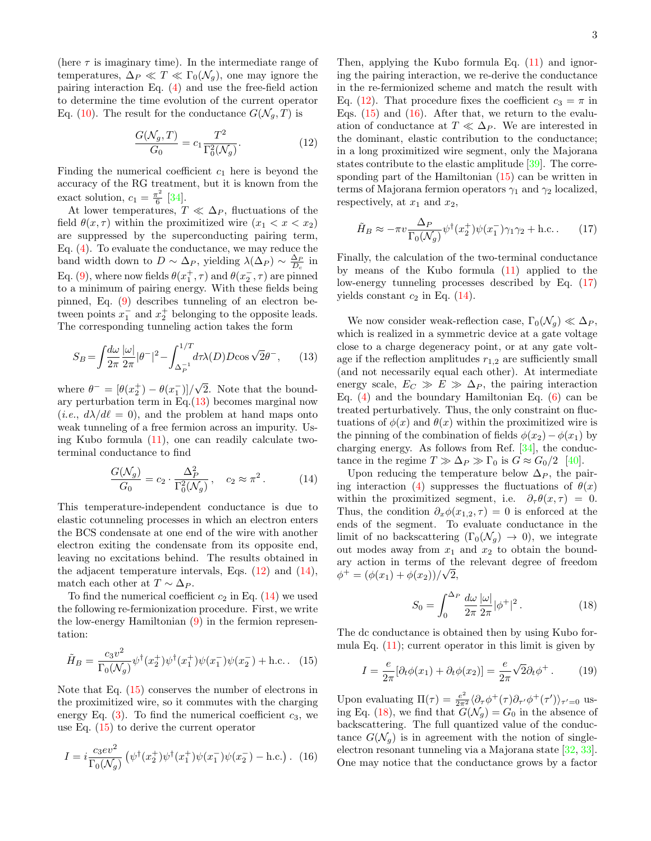(here  $\tau$  is imaginary time). In the intermediate range of temperatures,  $\Delta_P \ll T \ll \Gamma_0(\mathcal{N}_g)$ , one may ignore the pairing interaction Eq. [\(4\)](#page-0-2) and use the free-field action to determine the time evolution of the current operator Eq. [\(10\)](#page-1-3). The result for the conductance  $G(\mathcal{N}_q, T)$  is

<span id="page-2-1"></span>
$$
\frac{G(\mathcal{N}_g, T)}{G_0} = c_1 \frac{T^2}{\Gamma_0^2(\mathcal{N}_g)}.
$$
 (12)

Finding the numerical coefficient  $c_1$  here is beyond the accuracy of the RG treatment, but it is known from the exact solution,  $c_1 = \frac{\pi^2}{6}$  $\frac{7}{6}$  [\[34\]](#page-4-14).

At lower temperatures,  $T \ll \Delta_P$ , fluctuations of the field  $\theta(x, \tau)$  within the proximitized wire  $(x_1 < x < x_2)$ are suppressed by the superconducting pairing term, Eq. [\(4\)](#page-0-2). To evaluate the conductance, we may reduce the band width down to  $D \sim \Delta_P$ , yielding  $\lambda(\Delta_P) \sim \frac{\Delta_P}{D_c}$  in Eq. [\(9\)](#page-1-2), where now fields  $\theta(x_1^+,\tau)$  and  $\theta(x_2^-,\tau)$  are pinned to a minimum of pairing energy. With these fields being pinned, Eq. [\(9\)](#page-1-2) describes tunneling of an electron between points  $x_1^-$  and  $x_2^+$  belonging to the opposite leads. The corresponding tunneling action takes the form

$$
S_B = \int \frac{d\omega}{2\pi} \frac{|\omega|}{2\pi} |\theta^-|^2 - \int_{\Delta_P^{-1}}^{1/T} d\tau \lambda(D) D \cos \sqrt{2} \theta^-, \qquad (13)
$$

where  $\theta^- = [\theta(x_2^+) - \theta(x_1^-)]/$ √ 2. Note that the boundary perturbation term in Eq. $(13)$  becomes marginal now  $(i.e., d\lambda/d\ell = 0)$ , and the problem at hand maps onto weak tunneling of a free fermion across an impurity. Using Kubo formula  $(11)$ , one can readily calculate twoterminal conductance to find

$$
\frac{G(\mathcal{N}_g)}{G_0} = c_2 \cdot \frac{\Delta_P^2}{\Gamma_0^2(\mathcal{N}_g)}, \quad c_2 \approx \pi^2. \tag{14}
$$

This temperature-independent conductance is due to elastic cotunneling processes in which an electron enters the BCS condensate at one end of the wire with another electron exiting the condensate from its opposite end, leaving no excitations behind. The results obtained in the adjacent temperature intervals, Eqs.  $(12)$  and  $(14)$ , match each other at  $T \sim \Delta_P$ .

To find the numerical coefficient  $c_2$  in Eq. [\(14\)](#page-2-2) we used the following re-fermionization procedure. First, we write the low-energy Hamiltonian [\(9\)](#page-1-2) in the fermion representation:

<span id="page-2-3"></span>
$$
\tilde{H}_B = \frac{c_3 v^2}{\Gamma_0(\mathcal{N}_g)} \psi^\dagger(x_2^+) \psi^\dagger(x_1^+) \psi(x_1^-) \psi(x_2^-) + \text{h.c.} \quad (15)
$$

Note that Eq. [\(15\)](#page-2-3) conserves the number of electrons in the proximitized wire, so it commutes with the charging energy Eq.  $(3)$ . To find the numerical coefficient  $c_3$ , we use Eq. [\(15\)](#page-2-3) to derive the current operator

<span id="page-2-4"></span>
$$
I = i \frac{c_3 e v^2}{\Gamma_0(\mathcal{N}_g)} \left( \psi^\dagger(x_2^+) \psi^\dagger(x_1^+) \psi(x_1^-) \psi(x_2^-) - \text{h.c.} \right). \tag{16}
$$

Then, applying the Kubo formula Eq.  $(11)$  and ignoring the pairing interaction, we re-derive the conductance in the re-fermionized scheme and match the result with Eq. [\(12\)](#page-2-1). That procedure fixes the coefficient  $c_3 = \pi$  in Eqs.  $(15)$  and  $(16)$ . After that, we return to the evaluation of conductance at  $T \ll \Delta_P$ . We are interested in the dominant, elastic contribution to the conductance; in a long proximitized wire segment, only the Majorana states contribute to the elastic amplitude [\[39\]](#page-4-19). The corresponding part of the Hamiltonian [\(15\)](#page-2-3) can be written in terms of Majorana fermion operators  $\gamma_1$  and  $\gamma_2$  localized, respectively, at  $x_1$  and  $x_2$ ,

<span id="page-2-5"></span>
$$
\tilde{H}_B \approx -\pi v \frac{\Delta_P}{\Gamma_0(\mathcal{N}_g)} \psi^\dagger(x_2^+) \psi(x_1^-) \gamma_1 \gamma_2 + \text{h.c.} \tag{17}
$$

Finally, the calculation of the two-terminal conductance by means of the Kubo formula [\(11\)](#page-1-4) applied to the low-energy tunneling processes described by Eq. [\(17\)](#page-2-5) yields constant  $c_2$  in Eq. [\(14\)](#page-2-2).

<span id="page-2-0"></span>We now consider weak-reflection case,  $\Gamma_0(\mathcal{N}_q) \ll \Delta_P$ , which is realized in a symmetric device at a gate voltage close to a charge degeneracy point, or at any gate voltage if the reflection amplitudes  $r_{1,2}$  are sufficiently small (and not necessarily equal each other). At intermediate energy scale,  $E_C \gg E \gg \Delta_P$ , the pairing interaction Eq.  $(4)$  and the boundary Hamiltonian Eq.  $(6)$  can be treated perturbatively. Thus, the only constraint on fluctuations of  $\phi(x)$  and  $\theta(x)$  within the proximitized wire is the pinning of the combination of fields  $\phi(x_2) - \phi(x_1)$  by charging energy. As follows from Ref. [\[34\]](#page-4-14), the conductance in the regime  $T \gg \Delta_P \gg \Gamma_0$  is  $G \approx G_0/2$  [\[40\]](#page-4-20).

<span id="page-2-2"></span>Upon reducing the temperature below  $\Delta_P$ , the pair-ing interaction [\(4\)](#page-0-2) suppresses the fluctuations of  $\theta(x)$ within the proximitized segment, i.e.  $\partial_{\tau} \theta(x, \tau) = 0$ . Thus, the condition  $\partial_x \phi(x_{1,2}, \tau) = 0$  is enforced at the ends of the segment. To evaluate conductance in the limit of no backscattering  $(\Gamma_0(\mathcal{N}_q) \rightarrow 0)$ , we integrate out modes away from  $x_1$  and  $x_2$  to obtain the boundary action in terms of the relevant degree of freedom  $\phi^+ = (\phi(x_1) + \phi(x_2))/\sqrt{2},$ 

<span id="page-2-6"></span>
$$
S_0 = \int_0^{\Delta P} \frac{d\omega}{2\pi} \frac{|\omega|}{2\pi} |\phi^+|^2.
$$
 (18)

The dc conductance is obtained then by using Kubo formula Eq.  $(11)$ ; current operator in this limit is given by

$$
I = \frac{e}{2\pi} [\partial_t \phi(x_1) + \partial_t \phi(x_2)] = \frac{e}{2\pi} \sqrt{2} \partial_t \phi^+.
$$
 (19)

Upon evaluating  $\Pi(\tau) = \frac{e^2}{2\pi^2} \langle \partial_\tau \phi^+(\tau) \partial_{\tau'} \phi^+(\tau') \rangle_{\tau'=0}$  us-ing Eq. [\(18\)](#page-2-6), we find that  $G(\mathcal{N}_g) = G_0$  in the absence of backscattering. The full quantized value of the conductance  $G(\mathcal{N}_q)$  is in agreement with the notion of singleelectron resonant tunneling via a Majorana state [\[32,](#page-4-12) [33\]](#page-4-13). One may notice that the conductance grows by a factor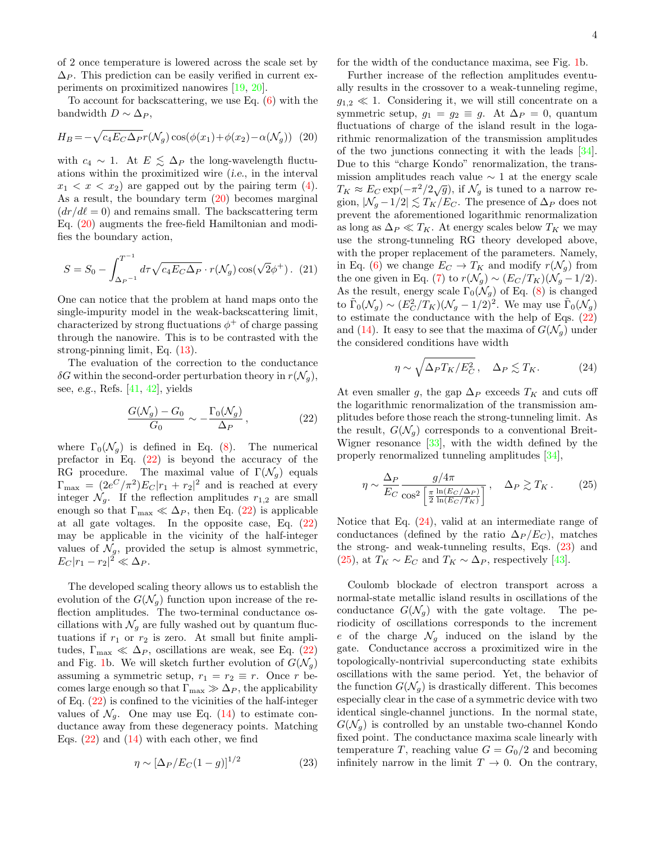of 2 once temperature is lowered across the scale set by  $\Delta_P$ . This prediction can be easily verified in current experiments on proximitized nanowires [\[19,](#page-4-21) [20\]](#page-4-11).

To account for backscattering, we use Eq. [\(6\)](#page-1-1) with the bandwidth  $D \sim \Delta_P$ ,

$$
H_B = -\sqrt{c_4 E_C \Delta_P} r(\mathcal{N}_g) \cos(\phi(x_1) + \phi(x_2) - \alpha(\mathcal{N}_g))
$$
 (20)

with  $c_4 \sim 1$ . At  $E \leq \Delta_P$  the long-wavelength fluctuations within the proximitized wire (i.e., in the interval  $x_1 < x < x_2$  are gapped out by the pairing term [\(4\)](#page-0-2). As a result, the boundary term  $(20)$  becomes marginal  $(dr/d\ell = 0)$  and remains small. The backscattering term Eq. [\(20\)](#page-3-4) augments the free-field Hamiltonian and modifies the boundary action,

$$
S = S_0 - \int_{\Delta_P^{-1}}^{T^{-1}} d\tau \sqrt{c_4 E_C \Delta_P} \cdot r(\mathcal{N}_g) \cos(\sqrt{2}\phi^+).
$$
 (21)

One can notice that the problem at hand maps onto the single-impurity model in the weak-backscattering limit, characterized by strong fluctuations  $\phi^+$  of charge passing through the nanowire. This is to be contrasted with the strong-pinning limit, Eq. [\(13\)](#page-2-0).

The evaluation of the correction to the conductance  $\delta G$  within the second-order perturbation theory in  $r(\mathcal{N}_q)$ , see, e.g., Refs. [\[41,](#page-4-22) [42\]](#page-4-23), yields

$$
\frac{G(\mathcal{N}_g) - G_0}{G_0} \sim -\frac{\Gamma_0(\mathcal{N}_g)}{\Delta_P},\qquad(22)
$$

where  $\Gamma_0(\mathcal{N}_q)$  is defined in Eq. [\(8\)](#page-1-5). The numerical prefactor in Eq.  $(22)$  is beyond the accuracy of the RG procedure. The maximal value of  $\Gamma(\mathcal{N}_q)$  equals  $\Gamma_{\text{max}} = (2e^C/\pi^2)E_C|r_1 + r_2|^2$  and is reached at every integer  $\mathcal{N}_q$ . If the reflection amplitudes  $r_{1,2}$  are small enough so that  $\Gamma_{\text{max}} \ll \Delta_P$ , then Eq. [\(22\)](#page-3-3) is applicable at all gate voltages. In the opposite case, Eq. [\(22\)](#page-3-3) may be applicable in the vicinity of the half-integer values of  $\mathcal{N}_q$ , provided the setup is almost symmetric,  $E_C|r_1-r_2|^2\ll\Delta_P.$ 

The developed scaling theory allows us to establish the evolution of the  $G(\mathcal{N}_q)$  function upon increase of the reflection amplitudes. The two-terminal conductance oscillations with  $\mathcal{N}_g$  are fully washed out by quantum fluctuations if  $r_1$  or  $r_2$  is zero. At small but finite amplitudes,  $\Gamma_{\text{max}} \ll \Delta_P$ , oscillations are weak, see Eq. [\(22\)](#page-3-3) and Fig. [1b](#page-1-0). We will sketch further evolution of  $G(\mathcal{N}_q)$ assuming a symmetric setup,  $r_1 = r_2 \equiv r$ . Once r becomes large enough so that  $\Gamma_{\text{max}} \gg \Delta_P$ , the applicability of Eq. [\(22\)](#page-3-3) is confined to the vicinities of the half-integer values of  $\mathcal{N}_q$ . One may use Eq. [\(14\)](#page-2-2) to estimate conductance away from these degeneracy points. Matching Eqs.  $(22)$  and  $(14)$  with each other, we find

<span id="page-3-1"></span>
$$
\eta \sim [\Delta_P/E_C(1-g)]^{1/2} \tag{23}
$$

for the width of the conductance maxima, see Fig. [1b](#page-1-0).

<span id="page-3-4"></span>Further increase of the reflection amplitudes eventually results in the crossover to a weak-tunneling regime,  $g_{1,2} \ll 1$ . Considering it, we will still concentrate on a symmetric setup,  $g_1 = g_2 \equiv g$ . At  $\Delta_P = 0$ , quantum fluctuations of charge of the island result in the logarithmic renormalization of the transmission amplitudes of the two junctions connecting it with the leads [\[34\]](#page-4-14). Due to this "charge Kondo" renormalization, the transmission amplitudes reach value  $\sim$  1 at the energy scale  $T_K \approx E_C \exp(-\pi^2/2\sqrt{g})$ , if  $\mathcal{N}_g$  is tuned to a narrow region,  $|\mathcal{N}_q - 1/2| \lesssim T_K/E_C$ . The presence of  $\Delta_P$  does not prevent the aforementioned logarithmic renormalization as long as  $\Delta_P \ll T_K$ . At energy scales below  $T_K$  we may use the strong-tunneling RG theory developed above, with the proper replacement of the parameters. Namely, in Eq. [\(6\)](#page-1-1) we change  $E_C \to T_K$  and modify  $r(\mathcal{N}_g)$  from the one given in Eq. [\(7\)](#page-1-6) to  $r(\mathcal{N}_g) \sim (E_C/T_K)(\mathcal{N}_g - 1/2)$ . As the result, energy scale  $\Gamma_0(\mathcal{N}_g)$  of Eq. [\(8\)](#page-1-5) is changed to  $\tilde{\Gamma}_0(\mathcal{N}_g) \sim (E_C^2/T_K)(\mathcal{N}_g - 1/2)^2$ . We may use  $\tilde{\Gamma}_0(\mathcal{N}_g)$ to estimate the conductance with the help of Eqs. [\(22\)](#page-3-3) and [\(14\)](#page-2-2). It easy to see that the maxima of  $G(\mathcal{N}_q)$  under the considered conditions have width

<span id="page-3-2"></span>
$$
\eta \sim \sqrt{\Delta_P T_K/E_C^2}, \quad \Delta_P \lesssim T_K. \tag{24}
$$

<span id="page-3-3"></span>At even smaller g, the gap  $\Delta_P$  exceeds  $T_K$  and cuts off the logarithmic renormalization of the transmission amplitudes before those reach the strong-tunneling limit. As the result,  $G(\mathcal{N}_q)$  corresponds to a conventional Breit-Wigner resonance [\[33\]](#page-4-13), with the width defined by the properly renormalized tunneling amplitudes [\[34\]](#page-4-14),

<span id="page-3-0"></span>
$$
\eta \sim \frac{\Delta_P}{E_C} \frac{g/4\pi}{\cos^2\left[\frac{\pi}{2} \frac{\ln(E_C/\Delta_P)}{\ln(E_C/T_K)}\right]}, \quad \Delta_P \gtrsim T_K. \tag{25}
$$

Notice that Eq. [\(24\)](#page-3-2), valid at an intermediate range of conductances (defined by the ratio  $\Delta_P/E_C$ ), matches the strong- and weak-tunneling results, Eqs. [\(23\)](#page-3-1) and [\(25\)](#page-3-0), at  $T_K \sim E_C$  and  $T_K \sim \Delta_P$ , respectively [\[43\]](#page-5-0).

Coulomb blockade of electron transport across a normal-state metallic island results in oscillations of the conductance  $G(\mathcal{N}_q)$  with the gate voltage. The periodicity of oscillations corresponds to the increment e of the charge  $\mathcal{N}_g$  induced on the island by the gate. Conductance accross a proximitized wire in the topologically-nontrivial superconducting state exhibits oscillations with the same period. Yet, the behavior of the function  $G(\mathcal{N}_q)$  is drastically different. This becomes especially clear in the case of a symmetric device with two identical single-channel junctions. In the normal state,  $G(\mathcal{N}_q)$  is controlled by an unstable two-channel Kondo fixed point. The conductance maxima scale linearly with temperature T, reaching value  $G = G_0/2$  and becoming infinitely narrow in the limit  $T \to 0$ . On the contrary,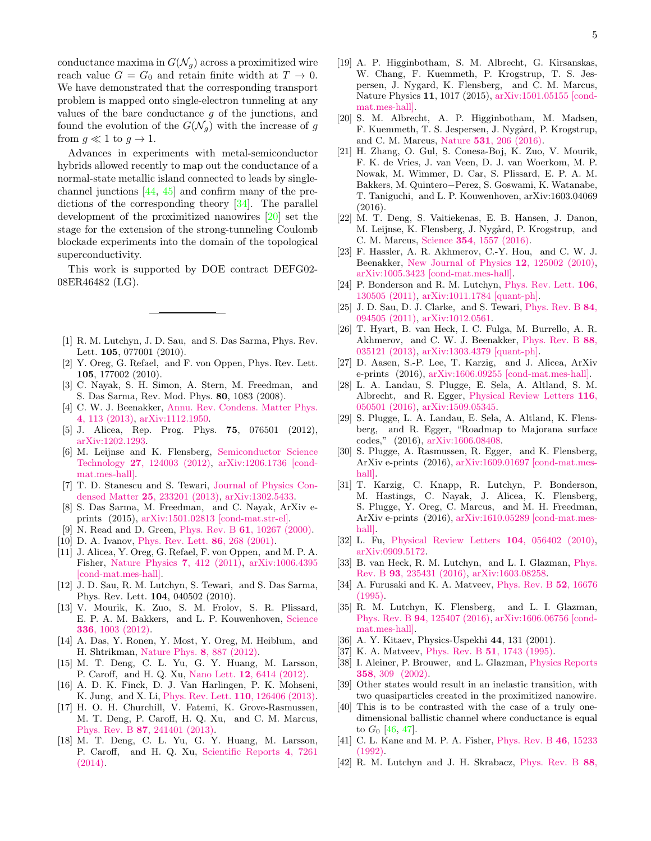conductance maxima in  $G(\mathcal{N}_g)$  across a proximitized wire reach value  $G = G_0$  and retain finite width at  $T \to 0$ . We have demonstrated that the corresponding transport problem is mapped onto single-electron tunneling at any values of the bare conductance  $q$  of the junctions, and found the evolution of the  $G(\mathcal{N}_q)$  with the increase of g from  $q \ll 1$  to  $q \to 1$ .

Advances in experiments with metal-semiconductor hybrids allowed recently to map out the conductance of a normal-state metallic island connected to leads by singlechannel junctions [\[44,](#page-5-1) [45\]](#page-5-2) and confirm many of the predictions of the corresponding theory [\[34\]](#page-4-14). The parallel development of the proximitized nanowires [\[20\]](#page-4-11) set the stage for the extension of the strong-tunneling Coulomb blockade experiments into the domain of the topological superconductivity.

This work is supported by DOE contract DEFG02- 08ER46482 (LG).

- <span id="page-4-0"></span>[1] R. M. Lutchyn, J. D. Sau, and S. Das Sarma, Phys. Rev. Lett. **105**, 077001 (2010).
- <span id="page-4-1"></span>[2] Y. Oreg, G. Refael, and F. von Oppen, Phys. Rev. Lett. 105, 177002 (2010).
- <span id="page-4-2"></span>[3] C. Nayak, S. H. Simon, A. Stern, M. Freedman, and S. Das Sarma, Rev. Mod. Phys. 80, 1083 (2008).
- [4] C. W. J. Beenakker, [Annu. Rev. Condens. Matter Phys.](http://dx.doi.org/ 10.1146/annurev-conmatphys-030212-184337) 4[, 113 \(2013\),](http://dx.doi.org/ 10.1146/annurev-conmatphys-030212-184337) [arXiv:1112.1950.](http://arxiv.org/abs/arXiv:1112.1950)
- [5] J. Alicea, Rep. Prog. Phys. 75, 076501 (2012), [arXiv:1202.1293.](http://arxiv.org/abs/arXiv:1202.1293)
- [6] M. Leijnse and K. Flensberg, [Semiconductor Science](http://dx.doi.org/10.1088/0268-1242/27/12/124003) Technology 27[, 124003 \(2012\),](http://dx.doi.org/10.1088/0268-1242/27/12/124003) [arXiv:1206.1736 \[cond](http://arxiv.org/abs/1206.1736)[mat.mes-hall\].](http://arxiv.org/abs/1206.1736)
- [7] T. D. Stanescu and S. Tewari, [Journal of Physics Con](http://dx.doi.org/10.1088/0953-8984/25/23/233201)densed Matter 25[, 233201 \(2013\),](http://dx.doi.org/10.1088/0953-8984/25/23/233201) [arXiv:1302.5433.](http://arxiv.org/abs/1302.5433)
- <span id="page-4-3"></span>[8] S. Das Sarma, M. Freedman, and C. Nayak, ArXiv eprints (2015), [arXiv:1501.02813 \[cond-mat.str-el\].](http://arxiv.org/abs/1501.02813)
- <span id="page-4-4"></span>[9] N. Read and D. Green, Phys. Rev. B 61[, 10267 \(2000\).](http://dx.doi.org/10.1103/PhysRevB.61.10267)
- [10] D. A. Ivanov, [Phys. Rev. Lett.](http://dx.doi.org/10.1103/PhysRevLett.86.268) 86, 268 (2001).
- <span id="page-4-5"></span>[11] J. Alicea, Y. Oreg, G. Refael, F. von Oppen, and M. P. A. Fisher, [Nature Physics](http://dx.doi.org/10.1038/nphys1915) 7, 412 (2011), [arXiv:1006.4395](http://arxiv.org/abs/1006.4395) [\[cond-mat.mes-hall\].](http://arxiv.org/abs/1006.4395)
- <span id="page-4-6"></span>[12] J. D. Sau, R. M. Lutchyn, S. Tewari, and S. Das Sarma, Phys. Rev. Lett. 104, 040502 (2010).
- <span id="page-4-7"></span>[13] V. Mourik, K. Zuo, S. M. Frolov, S. R. Plissard, E. P. A. M. Bakkers, and L. P. Kouwenhoven, [Science](http://dx.doi.org/10.1126/science.1222360) 336[, 1003 \(2012\).](http://dx.doi.org/10.1126/science.1222360)
- [14] A. Das, Y. Ronen, Y. Most, Y. Oreg, M. Heiblum, and H. Shtrikman, [Nature Phys.](http://dx.doi.org/ 10.1038/nphys2479) 8, 887 (2012).
- [15] M. T. Deng, C. L. Yu, G. Y. Huang, M. Larsson, P. Caroff, and H. Q. Xu, Nano Lett. 12[, 6414 \(2012\).](http://dx.doi.org/ 10.1021/nl303758w)
- [16] A. D. K. Finck, D. J. Van Harlingen, P. K. Mohseni, K. Jung, and X. Li, [Phys. Rev. Lett.](http://dx.doi.org/10.1103/PhysRevLett.110.126406) 110, 126406 (2013).
- [17] H. O. H. Churchill, V. Fatemi, K. Grove-Rasmussen, M. T. Deng, P. Caroff, H. Q. Xu, and C. M. Marcus, Phys. Rev. B 87[, 241401 \(2013\).](http://dx.doi.org/ 10.1103/PhysRevB.87.241401)
- [18] M. T. Deng, C. L. Yu, G. Y. Huang, M. Larsson, P. Caroff, and H. Q. Xu, [Scientific Reports](http://dx.doi.org/ doi:10.1038/srep07261) 4, 7261 [\(2014\).](http://dx.doi.org/ doi:10.1038/srep07261)
- <span id="page-4-21"></span>[19] A. P. Higginbotham, S. M. Albrecht, G. Kirsanskas, W. Chang, F. Kuemmeth, P. Krogstrup, T. S. Jespersen, J. Nygard, K. Flensberg, and C. M. Marcus, Nature Physics 11, 1017 (2015), [arXiv:1501.05155 \[cond](http://arxiv.org/abs/1501.05155)[mat.mes-hall\].](http://arxiv.org/abs/1501.05155)
- <span id="page-4-11"></span>[20] S. M. Albrecht, A. P. Higginbotham, M. Madsen, F. Kuemmeth, T. S. Jespersen, J. Nygård, P. Krogstrup, and C. M. Marcus, Nature 531[, 206 \(2016\).](http://dx.doi.org/ 10.1038/nature17162)
- [21] H. Zhang, O. Gul, S. Conesa-Boj, K. Zuo, V. Mourik, F. K. de Vries, J. van Veen, D. J. van Woerkom, M. P. Nowak, M. Wimmer, D. Car, S. Plissard, E. P. A. M. Bakkers, M. Quintero−Perez, S. Goswami, K. Watanabe, T. Taniguchi, and L. P. Kouwenhoven, arXiv:1603.04069 (2016).
- <span id="page-4-8"></span>[22] M. T. Deng, S. Vaitiekenas, E. B. Hansen, J. Danon, M. Leijnse, K. Flensberg, J. Nygård, P. Krogstrup, and C. M. Marcus, Science 354[, 1557 \(2016\).](http://dx.doi.org/10.1126/science.aaf3961)
- <span id="page-4-9"></span>[23] F. Hassler, A. R. Akhmerov, C.-Y. Hou, and C. W. J. Beenakker, [New Journal of Physics](http://dx.doi.org/10.1088/1367-2630/12/12/125002) 12, 125002 (2010), [arXiv:1005.3423 \[cond-mat.mes-hall\].](http://arxiv.org/abs/1005.3423)
- [24] P. Bonderson and R. M. Lutchyn, [Phys. Rev. Lett.](http://dx.doi.org/10.1103/PhysRevLett.106.130505) 106, [130505 \(2011\),](http://dx.doi.org/10.1103/PhysRevLett.106.130505) [arXiv:1011.1784 \[quant-ph\].](http://arxiv.org/abs/1011.1784)
- [25] J. D. Sau, D. J. Clarke, and S. Tewari, [Phys. Rev. B](http://dx.doi.org/10.1103/PhysRevB.84.094505) 84, [094505 \(2011\),](http://dx.doi.org/10.1103/PhysRevB.84.094505) [arXiv:1012.0561.](http://arxiv.org/abs/arXiv:1012.0561)
- [26] T. Hyart, B. van Heck, I. C. Fulga, M. Burrello, A. R. Akhmerov, and C. W. J. Beenakker, [Phys. Rev. B](http://dx.doi.org/ 10.1103/PhysRevB.88.035121) 88, [035121 \(2013\),](http://dx.doi.org/ 10.1103/PhysRevB.88.035121) [arXiv:1303.4379 \[quant-ph\].](http://arxiv.org/abs/1303.4379)
- [27] D. Aasen, S.-P. Lee, T. Karzig, and J. Alicea, ArXiv e-prints (2016), [arXiv:1606.09255 \[cond-mat.mes-hall\].](http://arxiv.org/abs/1606.09255)
- [28] L. A. Landau, S. Plugge, E. Sela, A. Altland, S. M. Albrecht, and R. Egger, [Physical Review Letters](http://dx.doi.org/ 10.1103/PhysRevLett.116.050501) 116, [050501 \(2016\),](http://dx.doi.org/ 10.1103/PhysRevLett.116.050501) [arXiv:1509.05345.](http://arxiv.org/abs/1509.05345)
- [29] S. Plugge, L. A. Landau, E. Sela, A. Altland, K. Flensberg, and R. Egger, "Roadmap to Majorana surface codes," (2016), [arXiv:1606.08408.](http://arxiv.org/abs/arXiv:1606.08408)
- [30] S. Plugge, A. Rasmussen, R. Egger, and K. Flensberg, ArXiv e-prints (2016), [arXiv:1609.01697 \[cond-mat.mes](http://arxiv.org/abs/1609.01697)[hall\].](http://arxiv.org/abs/1609.01697)
- <span id="page-4-10"></span>[31] T. Karzig, C. Knapp, R. Lutchyn, P. Bonderson, M. Hastings, C. Nayak, J. Alicea, K. Flensberg, S. Plugge, Y. Oreg, C. Marcus, and M. H. Freedman, ArXiv e-prints (2016), [arXiv:1610.05289 \[cond-mat.mes](http://arxiv.org/abs/1610.05289)[hall\].](http://arxiv.org/abs/1610.05289)
- <span id="page-4-12"></span>[32] L. Fu, [Physical Review Letters](http://dx.doi.org/10.1103/PhysRevLett.104.056402) 104, 056402 (2010), [arXiv:0909.5172.](http://arxiv.org/abs/0909.5172)
- <span id="page-4-13"></span>[33] B. van Heck, R. M. Lutchyn, and L. I. Glazman, [Phys.](http://dx.doi.org/10.1103/PhysRevB.93.235431) Rev. B 93[, 235431 \(2016\),](http://dx.doi.org/10.1103/PhysRevB.93.235431) [arXiv:1603.08258.](http://arxiv.org/abs/arXiv:1603.08258)
- <span id="page-4-14"></span>[34] A. Furusaki and K. A. Matveev, [Phys. Rev. B](http://dx.doi.org/10.1103/PhysRevB.52.16676) **52**, 16676 [\(1995\).](http://dx.doi.org/10.1103/PhysRevB.52.16676)
- <span id="page-4-15"></span>[35] R. M. Lutchyn, K. Flensberg, and L. I. Glazman, Phys. Rev. B 94[, 125407 \(2016\),](http://dx.doi.org/10.1103/PhysRevB.94.125407) [arXiv:1606.06756 \[cond](http://arxiv.org/abs/1606.06756)[mat.mes-hall\].](http://arxiv.org/abs/1606.06756)
- <span id="page-4-16"></span>[36] A. Y. Kitaev, Physics-Uspekhi 44, 131 (2001).
- <span id="page-4-17"></span>[37] K. A. Matveev, Phys. Rev. B 51[, 1743 \(1995\).](http://dx.doi.org/10.1103/PhysRevB.51.1743)
- <span id="page-4-18"></span>[38] I. Aleiner, P. Brouwer, and L. Glazman, [Physics Reports](http://dx.doi.org/http://dx.doi.org/10.1016/S0370-1573(01)00063-1) 358[, 309 \(2002\).](http://dx.doi.org/http://dx.doi.org/10.1016/S0370-1573(01)00063-1)
- <span id="page-4-19"></span>[39] Other states would result in an inelastic transition, with two quasiparticles created in the proximitized nanowire.
- <span id="page-4-20"></span>[40] This is to be contrasted with the case of a truly onedimensional ballistic channel where conductance is equal to  $G_0$  [\[46,](#page-5-3) [47\]](#page-5-4).
- <span id="page-4-22"></span>[41] C. L. Kane and M. P. A. Fisher, *[Phys. Rev. B](http://dx.doi.org/10.1103/PhysRevB.46.15233)* 46, 15233 [\(1992\).](http://dx.doi.org/10.1103/PhysRevB.46.15233)
- <span id="page-4-23"></span>[42] R. M. Lutchyn and J. H. Skrabacz, [Phys. Rev. B](http://dx.doi.org/10.1103/PhysRevB.88.024511) 88,